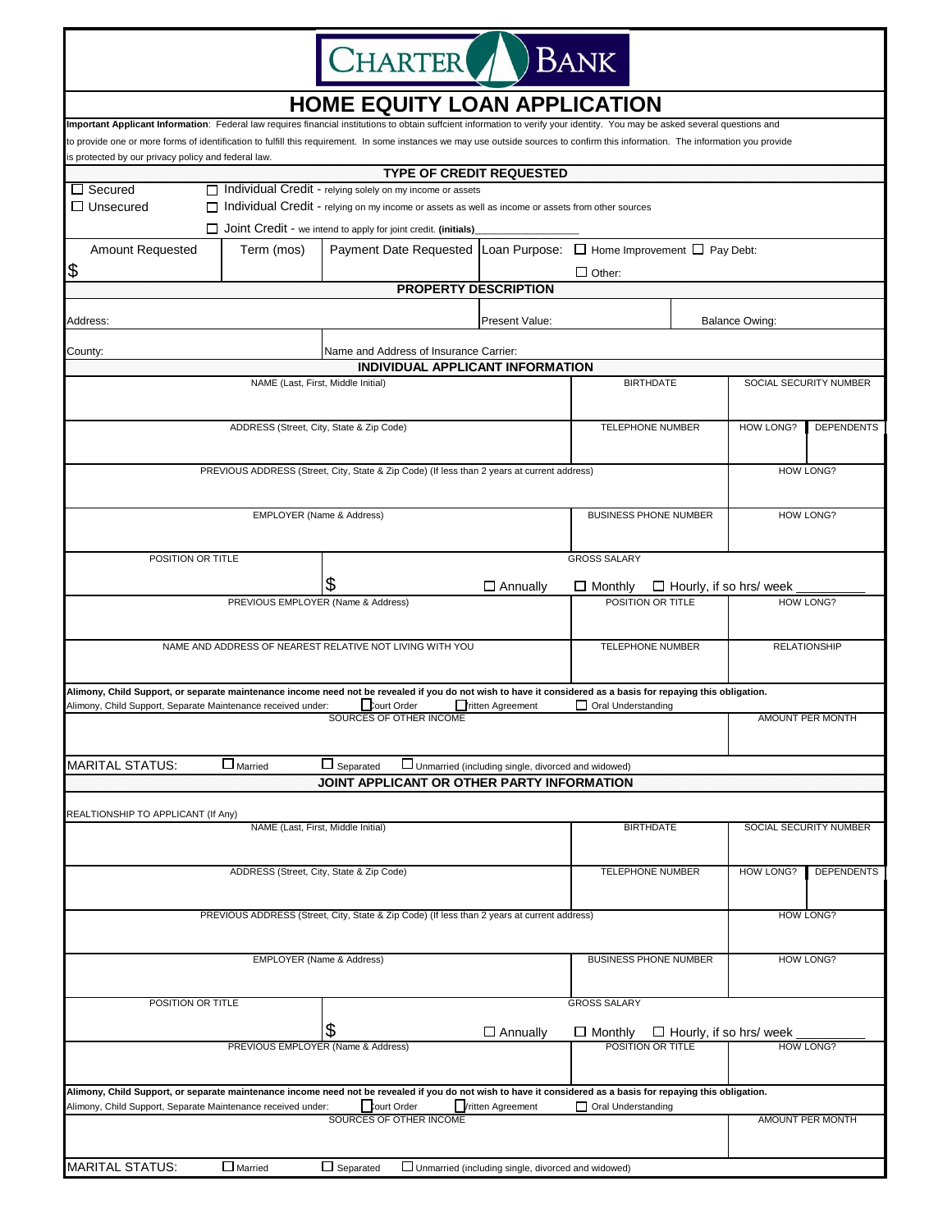

## **HOME EQUITY LOAN APPLICATION**

|                                                                                                                                                               |                                          | Important Applicant Information: Federal law requires financial institutions to obtain suffcient information to verify your identity. You may be asked several questions and      |                                                      |                              |                        |                                |                   |  |  |  |
|---------------------------------------------------------------------------------------------------------------------------------------------------------------|------------------------------------------|-----------------------------------------------------------------------------------------------------------------------------------------------------------------------------------|------------------------------------------------------|------------------------------|------------------------|--------------------------------|-------------------|--|--|--|
| is protected by our privacy policy and federal law.                                                                                                           |                                          | to provide one or more forms of identification to fulfill this requirement. In some instances we may use outside sources to confirm this information. The information you provide |                                                      |                              |                        |                                |                   |  |  |  |
|                                                                                                                                                               |                                          | <b>TYPE OF CREDIT REQUESTED</b>                                                                                                                                                   |                                                      |                              |                        |                                |                   |  |  |  |
| $\Box$ Secured                                                                                                                                                |                                          | □ Individual Credit - relying solely on my income or assets                                                                                                                       |                                                      |                              |                        |                                |                   |  |  |  |
| $\Box$ Unsecured                                                                                                                                              |                                          | Individual Credit - relying on my income or assets as well as income or assets from other sources                                                                                 |                                                      |                              |                        |                                |                   |  |  |  |
|                                                                                                                                                               |                                          | $\Box$ Joint Credit - we intend to apply for joint credit. (initials)                                                                                                             |                                                      |                              |                        |                                |                   |  |  |  |
| Amount Requested                                                                                                                                              | Term (mos)                               | Payment Date Requested Loan Purpose: $\Box$ Home Improvement $\Box$ Pay Debt:                                                                                                     |                                                      |                              |                        |                                |                   |  |  |  |
|                                                                                                                                                               |                                          |                                                                                                                                                                                   |                                                      |                              |                        |                                |                   |  |  |  |
| \$                                                                                                                                                            |                                          | <b>PROPERTY DESCRIPTION</b>                                                                                                                                                       |                                                      | $\Box$ Other:                |                        |                                |                   |  |  |  |
|                                                                                                                                                               |                                          |                                                                                                                                                                                   |                                                      |                              |                        |                                |                   |  |  |  |
| Address:<br>Present Value:                                                                                                                                    |                                          |                                                                                                                                                                                   | <b>Balance Owing:</b>                                |                              |                        |                                |                   |  |  |  |
|                                                                                                                                                               |                                          |                                                                                                                                                                                   |                                                      |                              |                        |                                |                   |  |  |  |
| County:                                                                                                                                                       |                                          | Name and Address of Insurance Carrier:                                                                                                                                            |                                                      |                              |                        |                                |                   |  |  |  |
|                                                                                                                                                               | NAME (Last, First, Middle Initial)       | INDIVIDUAL APPLICANT INFORMATION                                                                                                                                                  |                                                      | <b>BIRTHDATE</b>             |                        |                                |                   |  |  |  |
|                                                                                                                                                               |                                          |                                                                                                                                                                                   | SOCIAL SECURITY NUMBER                               |                              |                        |                                |                   |  |  |  |
|                                                                                                                                                               |                                          |                                                                                                                                                                                   |                                                      |                              |                        |                                |                   |  |  |  |
|                                                                                                                                                               | ADDRESS (Street, City, State & Zip Code) |                                                                                                                                                                                   | <b>TELEPHONE NUMBER</b>                              |                              | <b>HOW LONG?</b>       | <b>DEPENDENTS</b>              |                   |  |  |  |
|                                                                                                                                                               |                                          |                                                                                                                                                                                   |                                                      |                              |                        |                                |                   |  |  |  |
|                                                                                                                                                               |                                          | PREVIOUS ADDRESS (Street, City, State & Zip Code) (If less than 2 years at current address)                                                                                       |                                                      |                              |                        | HOW LONG?                      |                   |  |  |  |
|                                                                                                                                                               |                                          |                                                                                                                                                                                   |                                                      |                              |                        |                                |                   |  |  |  |
|                                                                                                                                                               | EMPLOYER (Name & Address)                |                                                                                                                                                                                   |                                                      | <b>BUSINESS PHONE NUMBER</b> |                        | HOW LONG?                      |                   |  |  |  |
|                                                                                                                                                               |                                          |                                                                                                                                                                                   |                                                      |                              |                        |                                |                   |  |  |  |
|                                                                                                                                                               |                                          |                                                                                                                                                                                   |                                                      |                              |                        |                                |                   |  |  |  |
| POSITION OR TITLE<br><b>GROSS SALARY</b>                                                                                                                      |                                          |                                                                                                                                                                                   |                                                      |                              |                        |                                |                   |  |  |  |
|                                                                                                                                                               |                                          | \$                                                                                                                                                                                | $\Box$ Annually                                      | $\Box$ Monthly               |                        | $\Box$ Hourly, if so hrs/ week |                   |  |  |  |
|                                                                                                                                                               | PREVIOUS EMPLOYER (Name & Address)       |                                                                                                                                                                                   |                                                      | POSITION OR TITLE            |                        |                                | HOW LONG?         |  |  |  |
|                                                                                                                                                               |                                          |                                                                                                                                                                                   |                                                      |                              |                        |                                |                   |  |  |  |
|                                                                                                                                                               |                                          | NAME AND ADDRESS OF NEAREST RELATIVE NOT LIVING WITH YOU                                                                                                                          |                                                      |                              |                        |                                |                   |  |  |  |
|                                                                                                                                                               |                                          | TELEPHONE NUMBER<br><b>RELATIONSHIP</b>                                                                                                                                           |                                                      |                              |                        |                                |                   |  |  |  |
|                                                                                                                                                               |                                          |                                                                                                                                                                                   |                                                      |                              |                        |                                |                   |  |  |  |
|                                                                                                                                                               |                                          | Alimony, Child Support, or separate maintenance income need not be revealed if you do not wish to have it considered as a basis for repaying this obligation.                     |                                                      |                              |                        |                                |                   |  |  |  |
| Court Order<br>$\Box$ Oral Understanding<br>Alimony, Child Support, Separate Maintenance received under:<br>ritten Agreement<br>SOURCES OF OTHER INCOME       |                                          |                                                                                                                                                                                   |                                                      |                              |                        |                                | AMOUNT PER MONTH  |  |  |  |
|                                                                                                                                                               |                                          |                                                                                                                                                                                   |                                                      |                              |                        |                                |                   |  |  |  |
|                                                                                                                                                               |                                          |                                                                                                                                                                                   |                                                      |                              |                        |                                |                   |  |  |  |
| <b>MARITAL STATUS:</b>                                                                                                                                        | $\Box$ Married                           | $\Box$ Separated                                                                                                                                                                  | Unmarried (including single, divorced and widowed)   |                              |                        |                                |                   |  |  |  |
|                                                                                                                                                               |                                          | JOINT APPLICANT OR OTHER PARTY INFORMATION                                                                                                                                        |                                                      |                              |                        |                                |                   |  |  |  |
| REALTIONSHIP TO APPLICANT (If Any)                                                                                                                            |                                          |                                                                                                                                                                                   |                                                      |                              |                        |                                |                   |  |  |  |
|                                                                                                                                                               |                                          | <b>BIRTHDATE</b>                                                                                                                                                                  |                                                      |                              | SOCIAL SECURITY NUMBER |                                |                   |  |  |  |
|                                                                                                                                                               |                                          |                                                                                                                                                                                   |                                                      |                              |                        |                                |                   |  |  |  |
|                                                                                                                                                               | ADDRESS (Street, City, State & Zip Code) |                                                                                                                                                                                   |                                                      | <b>TELEPHONE NUMBER</b>      |                        | <b>HOW LONG?</b>               | <b>DEPENDENTS</b> |  |  |  |
|                                                                                                                                                               |                                          |                                                                                                                                                                                   |                                                      |                              |                        |                                |                   |  |  |  |
|                                                                                                                                                               |                                          | PREVIOUS ADDRESS (Street, City, State & Zip Code) (If less than 2 years at current address)                                                                                       |                                                      |                              |                        |                                |                   |  |  |  |
|                                                                                                                                                               | <b>HOW LONG?</b>                         |                                                                                                                                                                                   |                                                      |                              |                        |                                |                   |  |  |  |
|                                                                                                                                                               |                                          |                                                                                                                                                                                   |                                                      |                              |                        |                                |                   |  |  |  |
| EMPLOYER (Name & Address)                                                                                                                                     |                                          |                                                                                                                                                                                   |                                                      | <b>BUSINESS PHONE NUMBER</b> |                        | <b>HOW LONG?</b>               |                   |  |  |  |
|                                                                                                                                                               |                                          |                                                                                                                                                                                   |                                                      |                              |                        |                                |                   |  |  |  |
| POSITION OR TITLE                                                                                                                                             |                                          |                                                                                                                                                                                   |                                                      | <b>GROSS SALARY</b>          |                        |                                |                   |  |  |  |
|                                                                                                                                                               |                                          |                                                                                                                                                                                   |                                                      |                              |                        |                                |                   |  |  |  |
|                                                                                                                                                               |                                          | \$                                                                                                                                                                                | $\square$ Annually                                   | $\Box$ Monthly               |                        | $\Box$ Hourly, if so hrs/ week |                   |  |  |  |
| PREVIOUS EMPLOYER (Name & Address)<br>POSITION OR TITLE                                                                                                       |                                          |                                                                                                                                                                                   |                                                      |                              |                        |                                | <b>HOW LONG?</b>  |  |  |  |
|                                                                                                                                                               |                                          |                                                                                                                                                                                   |                                                      |                              |                        |                                |                   |  |  |  |
| Alimony, Child Support, or separate maintenance income need not be revealed if you do not wish to have it considered as a basis for repaying this obligation. |                                          |                                                                                                                                                                                   |                                                      |                              |                        |                                |                   |  |  |  |
| Alimony, Child Support, Separate Maintenance received under:<br><b>Court Order</b><br><b>Vritten Agreement</b><br>Oral Understanding                          |                                          |                                                                                                                                                                                   |                                                      |                              |                        |                                |                   |  |  |  |
|                                                                                                                                                               |                                          | SOURCES OF OTHER INCOME                                                                                                                                                           |                                                      |                              |                        |                                | AMOUNT PER MONTH  |  |  |  |
|                                                                                                                                                               |                                          |                                                                                                                                                                                   |                                                      |                              |                        |                                |                   |  |  |  |
| MARITAL STATUS:                                                                                                                                               | $\Box$ Married                           | $\Box$ Separated                                                                                                                                                                  | □ Unmarried (including single, divorced and widowed) |                              |                        |                                |                   |  |  |  |